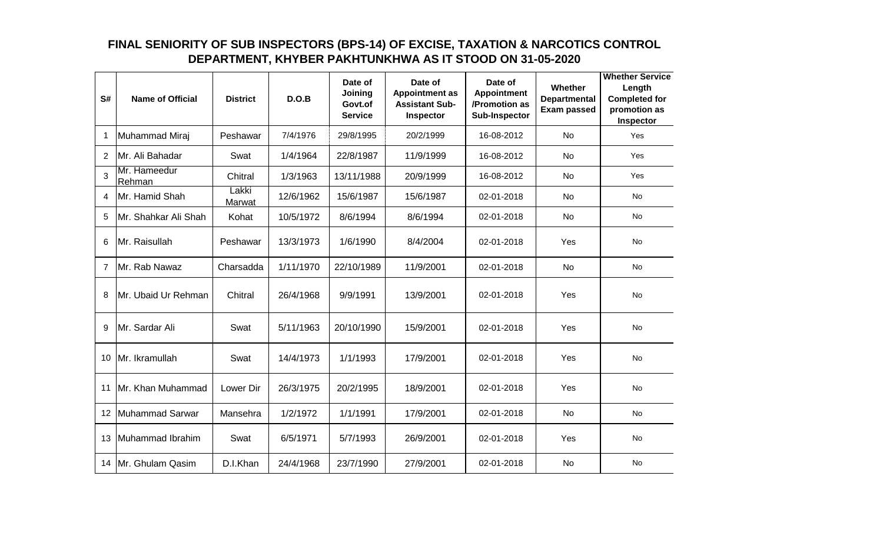## **FINAL SENIORITY OF SUB INSPECTORS (BPS-14) OF EXCISE, TAXATION & NARCOTICS CONTROL DEPARTMENT, KHYBER PAKHTUNKHWA AS IT STOOD ON 31-05-2020**

| S# | <b>Name of Official</b> | <b>District</b> | D.O.B     | Date of<br>Joining<br>Govt.of<br><b>Service</b> | Date of<br><b>Appointment as</b><br><b>Assistant Sub-</b><br>Inspector | Date of<br><b>Appointment</b><br>/Promotion as<br>Sub-Inspector | Whether<br><b>Departmental</b><br><b>Exam passed</b> | <b>Whether Service</b><br>Length<br><b>Completed for</b><br>promotion as<br>Inspector |
|----|-------------------------|-----------------|-----------|-------------------------------------------------|------------------------------------------------------------------------|-----------------------------------------------------------------|------------------------------------------------------|---------------------------------------------------------------------------------------|
| -1 | Muhammad Miraj          | Peshawar        | 7/4/1976  | 29/8/1995                                       | 20/2/1999                                                              | 16-08-2012                                                      | <b>No</b>                                            | Yes                                                                                   |
| 2  | Mr. Ali Bahadar         | Swat            | 1/4/1964  | 22/8/1987                                       | 11/9/1999                                                              | 16-08-2012                                                      | <b>No</b>                                            | Yes                                                                                   |
| 3  | Mr. Hameedur<br>Rehman  | Chitral         | 1/3/1963  | 13/11/1988                                      | 20/9/1999                                                              | 16-08-2012                                                      | No                                                   | Yes                                                                                   |
| 4  | Mr. Hamid Shah          | Lakki<br>Marwat | 12/6/1962 | 15/6/1987                                       | 15/6/1987                                                              | 02-01-2018                                                      | <b>No</b>                                            | N <sub>o</sub>                                                                        |
| 5  | Mr. Shahkar Ali Shah    | Kohat           | 10/5/1972 | 8/6/1994                                        | 8/6/1994                                                               | 02-01-2018                                                      | <b>No</b>                                            | <b>No</b>                                                                             |
| 6  | Mr. Raisullah           | Peshawar        | 13/3/1973 | 1/6/1990                                        | 8/4/2004                                                               | 02-01-2018                                                      | Yes                                                  | <b>No</b>                                                                             |
| 7  | Mr. Rab Nawaz           | Charsadda       | 1/11/1970 | 22/10/1989                                      | 11/9/2001                                                              | 02-01-2018                                                      | <b>No</b>                                            | <b>No</b>                                                                             |
| 8  | Mr. Ubaid Ur Rehman     | Chitral         | 26/4/1968 | 9/9/1991                                        | 13/9/2001                                                              | 02-01-2018                                                      | Yes                                                  | <b>No</b>                                                                             |
| 9  | Mr. Sardar Ali          | Swat            | 5/11/1963 | 20/10/1990                                      | 15/9/2001                                                              | 02-01-2018                                                      | Yes                                                  | <b>No</b>                                                                             |
| 10 | Mr. Ikramullah          | Swat            | 14/4/1973 | 1/1/1993                                        | 17/9/2001                                                              | 02-01-2018                                                      | Yes                                                  | <b>No</b>                                                                             |
| 11 | Mr. Khan Muhammad       | Lower Dir       | 26/3/1975 | 20/2/1995                                       | 18/9/2001                                                              | 02-01-2018                                                      | Yes                                                  | <b>No</b>                                                                             |
| 12 | <b>Muhammad Sarwar</b>  | Mansehra        | 1/2/1972  | 1/1/1991                                        | 17/9/2001                                                              | 02-01-2018                                                      | No                                                   | <b>No</b>                                                                             |
| 13 | Muhammad Ibrahim        | Swat            | 6/5/1971  | 5/7/1993                                        | 26/9/2001                                                              | 02-01-2018                                                      | Yes                                                  | No                                                                                    |
| 14 | Mr. Ghulam Qasim        | D.I.Khan        | 24/4/1968 | 23/7/1990                                       | 27/9/2001                                                              | 02-01-2018                                                      | No                                                   | No                                                                                    |